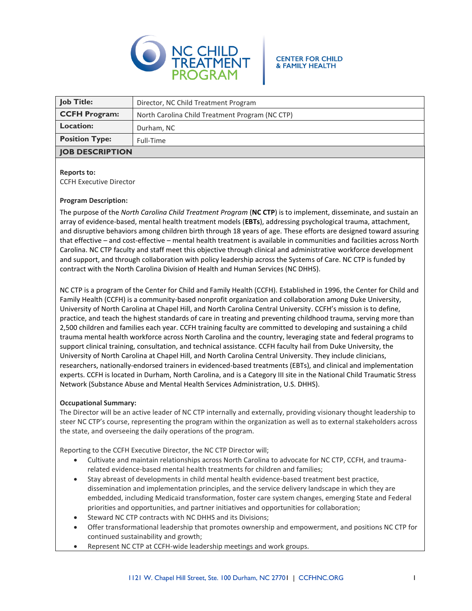

#### **CENTER FOR CHILD & FAMILY HEALTH**

| <b>Job Title:</b>      | Director, NC Child Treatment Program            |
|------------------------|-------------------------------------------------|
| <b>CCFH Program:</b>   | North Carolina Child Treatment Program (NC CTP) |
| <b>Location:</b>       | Durham, NC                                      |
| <b>Position Type:</b>  | Full-Time                                       |
| <b>JOB DESCRIPTION</b> |                                                 |

## **Reports to:**

CCFH Executive Director

## **Program Description:**

The purpose of the *North Carolina Child Treatment Program* (**NC CTP**) is to implement, disseminate, and sustain an array of evidence-based, mental health treatment models (**EBTs**), addressing psychological trauma, attachment, and disruptive behaviors among children birth through 18 years of age. These efforts are designed toward assuring that effective – and cost-effective – mental health treatment is available in communities and facilities across North Carolina. NC CTP faculty and staff meet this objective through clinical and administrative workforce development and support, and through collaboration with policy leadership across the Systems of Care. NC CTP is funded by contract with the North Carolina Division of Health and Human Services (NC DHHS).

NC CTP is a program of the Center for Child and Family Health (CCFH). Established in 1996, the Center for Child and Family Health (CCFH) is a community-based nonprofit organization and collaboration among Duke University, University of North Carolina at Chapel Hill, and North Carolina Central University. CCFH's mission is to define, practice, and teach the highest standards of care in treating and preventing childhood trauma, serving more than 2,500 children and families each year. CCFH training faculty are committed to developing and sustaining a child trauma mental health workforce across North Carolina and the country, leveraging state and federal programs to support clinical training, consultation, and technical assistance. CCFH faculty hail from Duke University, the University of North Carolina at Chapel Hill, and North Carolina Central University. They include clinicians, researchers, nationally-endorsed trainers in evidenced-based treatments (EBTs), and clinical and implementation experts. CCFH is located in Durham, North Carolina, and is a Category III site in the National Child Traumatic Stress Network (Substance Abuse and Mental Health Services Administration, U.S. DHHS).

## **Occupational Summary:**

The Director will be an active leader of NC CTP internally and externally, providing visionary thought leadership to steer NC CTP's course, representing the program within the organization as well as to external stakeholders across the state, and overseeing the daily operations of the program.

Reporting to the CCFH Executive Director, the NC CTP Director will;

- Cultivate and maintain relationships across North Carolina to advocate for NC CTP, CCFH, and traumarelated evidence-based mental health treatments for children and families;
- Stay abreast of developments in child mental health evidence-based treatment best practice, dissemination and implementation principles, and the service delivery landscape in which they are embedded, including Medicaid transformation, foster care system changes, emerging State and Federal priorities and opportunities, and partner initiatives and opportunities for collaboration;
- Steward NC CTP contracts with NC DHHS and its Divisions;
- Offer transformational leadership that promotes ownership and empowerment, and positions NC CTP for continued sustainability and growth;
- Represent NC CTP at CCFH-wide leadership meetings and work groups.